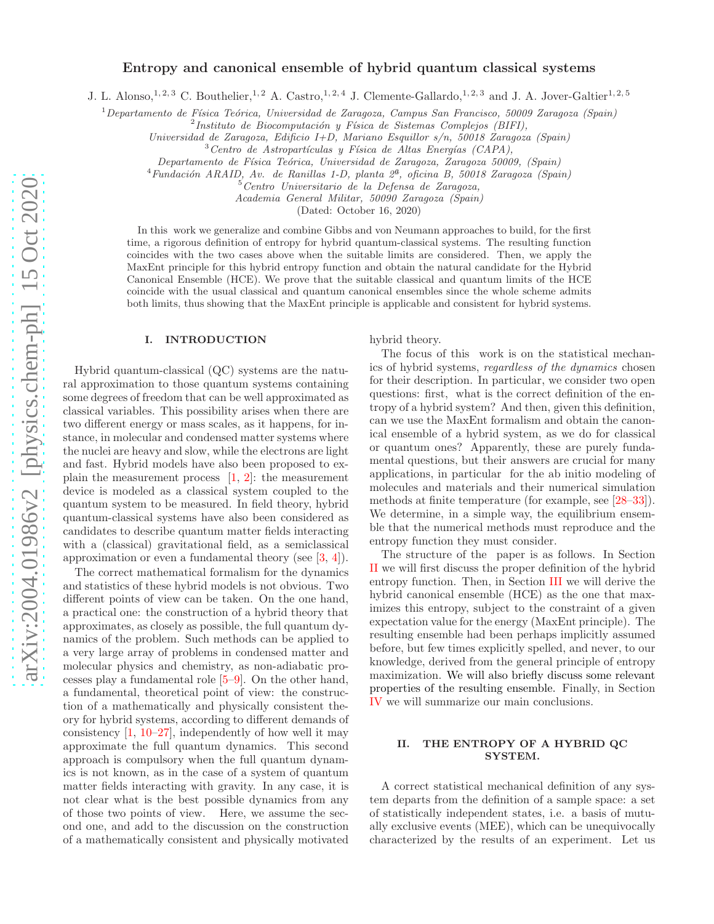# Entropy and canonical ensemble of hybrid quantum classical systems

J. L. Alonso,<sup>1, 2, 3</sup> C. Bouthelier,<sup>1, 2</sup> A. Castro,<sup>1, 2, 4</sup> J. Clemente-Gallardo,<sup>1, 2, 3</sup> and J. A. Jover-Galtier<sup>1, 2, 5</sup>

 $1$ Departamento de Física Teórica, Universidad de Zaragoza, Campus San Francisco, 50009 Zaragoza (Spain)

<sup>2</sup>Instituto de Biocomputación y Física de Sistemas Complejos (BIFI),

Universidad de Zaragoza, Edificio I+D, Mariano Esquillor  $s/n$ , 50018 Zaragoza (Spain)

 $3$  Centro de Astropartículas y Física de Altas Energías (CAPA),

Departamento de Física Teórica, Universidad de Zaragoza, Zaragoza 50009, (Spain)

 $^{4}$ Fundación ARAID, Av. de Ranillas 1-D, planta  $2^{4}$ , oficina B, 50018 Zaragoza (Spain)

Academia General Militar, 50090 Zaragoza (Spain)

(Dated: October 16, 2020)

In this work we generalize and combine Gibbs and von Neumann approaches to build, for the first time, a rigorous definition of entropy for hybrid quantum-classical systems. The resulting function coincides with the two cases above when the suitable limits are considered. Then, we apply the MaxEnt principle for this hybrid entropy function and obtain the natural candidate for the Hybrid Canonical Ensemble (HCE). We prove that the suitable classical and quantum limits of the HCE coincide with the usual classical and quantum canonical ensembles since the whole scheme admits both limits, thus showing that the MaxEnt principle is applicable and consistent for hybrid systems.

## I. INTRODUCTION

Hybrid quantum-classical (QC) systems are the natural approximation to those quantum systems containing some degrees of freedom that can be well approximated as classical variables. This possibility arises when there are two different energy or mass scales, as it happens, for instance, in molecular and condensed matter systems where the nuclei are heavy and slow, while the electrons are light and fast. Hybrid models have also been proposed to explain the measurement process  $[1, 2]$  $[1, 2]$  $[1, 2]$ : the measurement device is modeled as a classical system coupled to the quantum system to be measured. In field theory, hybrid quantum-classical systems have also been considered as candidates to describe quantum matter fields interacting with a (classical) gravitational field, as a semiclassical approximation or even a fundamental theory (see [\[3,](#page-5-2) [4\]](#page-5-3)).

The correct mathematical formalism for the dynamics and statistics of these hybrid models is not obvious. Two different points of view can be taken. On the one hand, a practical one: the construction of a hybrid theory that approximates, as closely as possible, the full quantum dynamics of the problem. Such methods can be applied to a very large array of problems in condensed matter and molecular physics and chemistry, as non-adiabatic processes play a fundamental role [\[5](#page-5-4)[–9\]](#page-5-5). On the other hand, a fundamental, theoretical point of view: the construction of a mathematically and physically consistent theory for hybrid systems, according to different demands of consistency  $[1, 10-27]$  $[1, 10-27]$  $[1, 10-27]$ , independently of how well it may approximate the full quantum dynamics. This second approach is compulsory when the full quantum dynamics is not known, as in the case of a system of quantum matter fields interacting with gravity. In any case, it is not clear what is the best possible dynamics from any of those two points of view. Here, we assume the second one, and add to the discussion on the construction of a mathematically consistent and physically motivated

hybrid theory.

The focus of this work is on the statistical mechanics of hybrid systems, regardless of the dynamics chosen for their description. In particular, we consider two open questions: first, what is the correct definition of the entropy of a hybrid system? And then, given this definition, can we use the MaxEnt formalism and obtain the canonical ensemble of a hybrid system, as we do for classical or quantum ones? Apparently, these are purely fundamental questions, but their answers are crucial for many applications, in particular for the ab initio modeling of molecules and materials and their numerical simulation methods at finite temperature (for example, see [\[28](#page-5-8)[–33\]](#page-5-9)). We determine, in a simple way, the equilibrium ensemble that the numerical methods must reproduce and the entropy function they must consider.

The structure of the paper is as follows. In Section [II](#page-0-0) we will first discuss the proper definition of the hybrid entropy function. Then, in Section [III](#page-3-0) we will derive the hybrid canonical ensemble (HCE) as the one that maximizes this entropy, subject to the constraint of a given expectation value for the energy (MaxEnt principle). The resulting ensemble had been perhaps implicitly assumed before, but few times explicitly spelled, and never, to our knowledge, derived from the general principle of entropy maximization. We will also briefly discuss some relevant properties of the resulting ensemble. Finally, in Section [IV](#page-4-0) we will summarize our main conclusions.

## <span id="page-0-0"></span>II. THE ENTROPY OF A HYBRID QC SYSTEM.

A correct statistical mechanical definition of any system departs from the definition of a sample space: a set of statistically independent states, i.e. a basis of mutually exclusive events (MEE), which can be unequivocally characterized by the results of an experiment. Let us

<sup>5</sup>Centro Universitario de la Defensa de Zaragoza,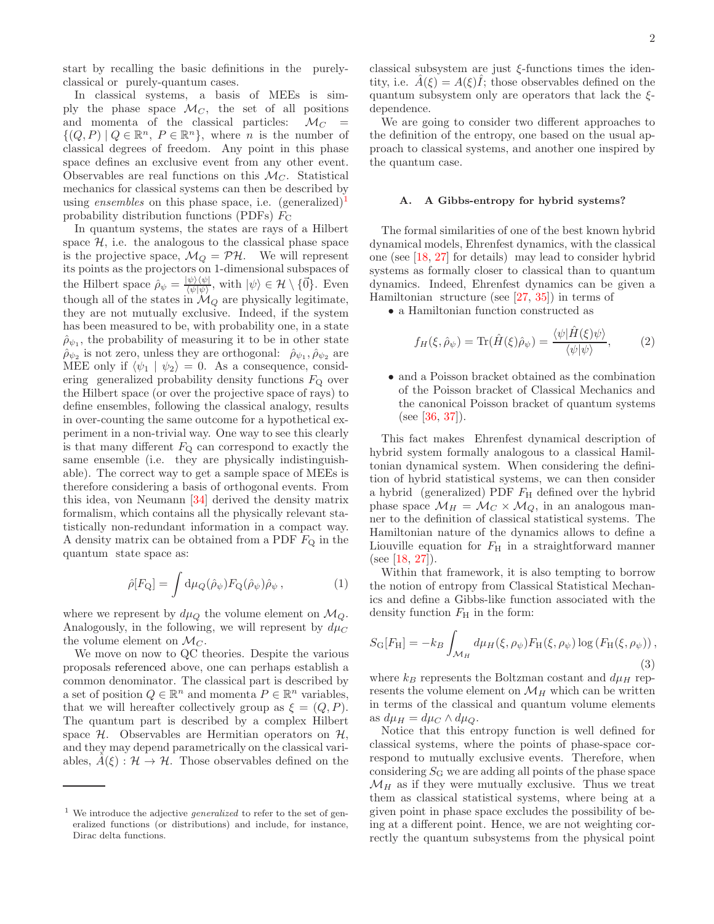start by recalling the basic definitions in the purelyclassical or purely-quantum cases.

In classical systems, a basis of MEEs is simply the phase space  $\mathcal{M}_C$ , the set of all positions and momenta of the classical particles:  $\mathcal{M}_C$  $\{(Q, P) \mid Q \in \mathbb{R}^n, P \in \mathbb{R}^n\},$  where *n* is the number of classical degrees of freedom. Any point in this phase space defines an exclusive event from any other event. Observables are real functions on this  $\mathcal{M}_C$ . Statistical mechanics for classical systems can then be described by using ensembles on this phase space, i.e. (generalized)<sup>[1](#page-1-0)</sup> probability distribution functions (PDFs)  $F_{\rm C}$ 

In quantum systems, the states are rays of a Hilbert space  $H$ , i.e. the analogous to the classical phase space is the projective space,  $\mathcal{M}_Q = \mathcal{P}\mathcal{H}$ . We will represent its points as the projectors on 1-dimensional subspaces of the Hilbert space  $\hat{\rho}_{\psi} = \frac{|\psi\rangle \langle \psi|}{\langle \psi | \psi \rangle}$  $\psi \langle \psi | \psi \rangle$ , with  $|\psi \rangle \in \mathcal{H} \setminus {\vec{0}}$ . Even though all of the states in  $\mathcal{M}_Q$  are physically legitimate, they are not mutually exclusive. Indeed, if the system has been measured to be, with probability one, in a state  $\hat{\rho}_{\psi_1}$ , the probability of measuring it to be in other state  $\hat{\rho}_{\psi_2}$  is not zero, unless they are orthogonal:  $\hat{\rho}_{\psi_1}, \hat{\rho}_{\psi_2}$  are MEE only if  $\langle \psi_1 | \psi_2 \rangle = 0$ . As a consequence, considering generalized probability density functions  $F_{\rm Q}$  over the Hilbert space (or over the projective space of rays) to define ensembles, following the classical analogy, results in over-counting the same outcome for a hypothetical experiment in a non-trivial way. One way to see this clearly is that many different  $F_Q$  can correspond to exactly the same ensemble (i.e. they are physically indistinguishable). The correct way to get a sample space of MEEs is therefore considering a basis of orthogonal events. From this idea, von Neumann [\[34\]](#page-6-0) derived the density matrix formalism, which contains all the physically relevant statistically non-redundant information in a compact way. A density matrix can be obtained from a PDF  $F_Q$  in the quantum state space as:

$$
\hat{\rho}[F_{\mathcal{Q}}] = \int d\mu_Q(\hat{\rho}_{\psi}) F_{\mathcal{Q}}(\hat{\rho}_{\psi}) \hat{\rho}_{\psi} , \qquad (1)
$$

where we represent by  $d\mu_Q$  the volume element on  $\mathcal{M}_Q$ . Analogously, in the following, we will represent by  $d\mu_C$ the volume element on  $\mathcal{M}_C$ .

We move on now to QC theories. Despite the various proposals referenced above, one can perhaps establish a common denominator. The classical part is described by a set of position  $Q \in \mathbb{R}^n$  and momenta  $P \in \mathbb{R}^n$  variables, that we will hereafter collectively group as  $\xi = (Q, P)$ . The quantum part is described by a complex Hilbert space  $H$ . Observables are Hermitian operators on  $H$ , and they may depend parametrically on the classical variables,  $\tilde{A}(\xi) : \mathcal{H} \to \mathcal{H}$ . Those observables defined on the

classical subsystem are just  $\xi$ -functions times the identity, i.e.  $\hat{A}(\xi) = A(\xi)\hat{I}$ ; those observables defined on the quantum subsystem only are operators that lack the  $\xi$ dependence.

We are going to consider two different approaches to the definition of the entropy, one based on the usual approach to classical systems, and another one inspired by the quantum case.

### A. A Gibbs-entropy for hybrid systems?

The formal similarities of one of the best known hybrid dynamical models, Ehrenfest dynamics, with the classical one (see [\[18](#page-5-10), [27\]](#page-5-7) for details) may lead to consider hybrid systems as formally closer to classical than to quantum dynamics. Indeed, Ehrenfest dynamics can be given a Hamiltonian structure (see [\[27](#page-5-7), [35](#page-6-1)]) in terms of

• a Hamiltonian function constructed as

$$
f_H(\xi, \hat{\rho}_{\psi}) = \text{Tr}(\hat{H}(\xi)\hat{\rho}_{\psi}) = \frac{\langle \psi | \hat{H}(\xi)\psi \rangle}{\langle \psi | \psi \rangle}, \quad (2)
$$

• and a Poisson bracket obtained as the combination of the Poisson bracket of Classical Mechanics and the canonical Poisson bracket of quantum systems (see [\[36,](#page-6-2) [37\]](#page-6-3)).

This fact makes Ehrenfest dynamical description of hybrid system formally analogous to a classical Hamiltonian dynamical system. When considering the definition of hybrid statistical systems, we can then consider a hybrid (generalized) PDF  $F_H$  defined over the hybrid phase space  $\mathcal{M}_H = \mathcal{M}_C \times \mathcal{M}_Q$ , in an analogous manner to the definition of classical statistical systems. The Hamiltonian nature of the dynamics allows to define a Liouville equation for  $F_{\rm H}$  in a straightforward manner (see [\[18,](#page-5-10) [27\]](#page-5-7)).

Within that framework, it is also tempting to borrow the notion of entropy from Classical Statistical Mechanics and define a Gibbs-like function associated with the density function  $F_{\rm H}$  in the form:

<span id="page-1-1"></span>
$$
S_{\rm G}[F_{\rm H}] = -k_B \int_{\mathcal{M}_H} d\mu_H(\xi, \rho_\psi) F_{\rm H}(\xi, \rho_\psi) \log \left( F_{\rm H}(\xi, \rho_\psi) \right),\tag{3}
$$

where  $k_B$  represents the Boltzman costant and  $d\mu$ <sub>H</sub> represents the volume element on  $\mathcal{M}_H$  which can be written in terms of the classical and quantum volume elements as  $d\mu_H = d\mu_C \wedge d\mu_Q$ .

Notice that this entropy function is well defined for classical systems, where the points of phase-space correspond to mutually exclusive events. Therefore, when considering  $S<sub>G</sub>$  we are adding all points of the phase space  $\mathcal{M}_H$  as if they were mutually exclusive. Thus we treat them as classical statistical systems, where being at a given point in phase space excludes the possibility of being at a different point. Hence, we are not weighting correctly the quantum subsystems from the physical point

<span id="page-1-0"></span><sup>&</sup>lt;sup>1</sup> We introduce the adjective *generalized* to refer to the set of generalized functions (or distributions) and include, for instance, Dirac delta functions.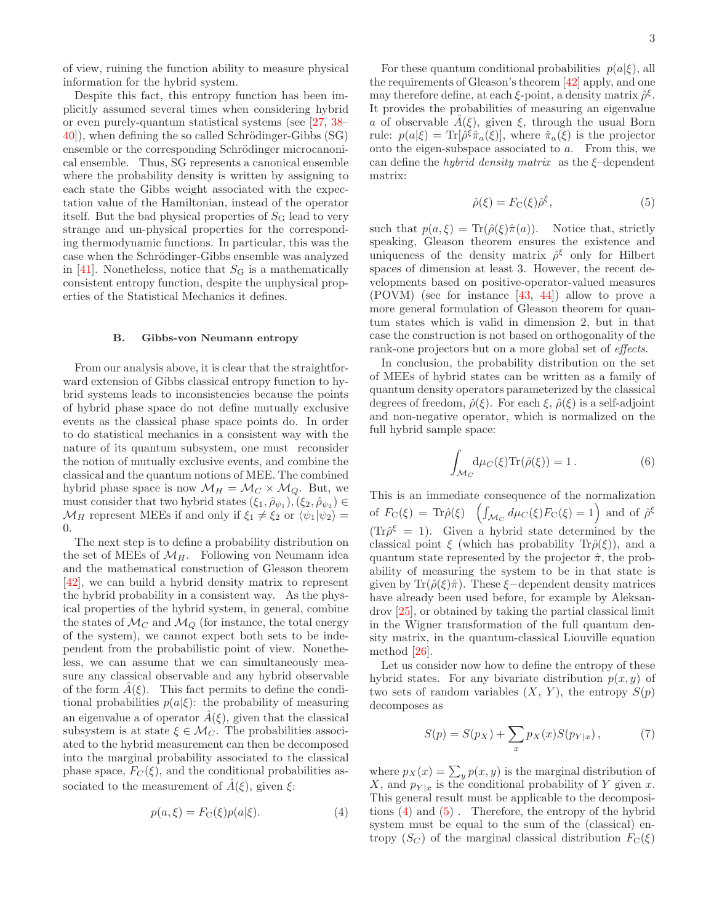of view, ruining the function ability to measure physical information for the hybrid system.

Despite this fact, this entropy function has been implicitly assumed several times when considering hybrid or even purely-quantum statistical systems (see [\[27,](#page-5-7) [38](#page-6-4)–  $40$ ), when defining the so called Schrödinger-Gibbs  $(SG)$ ensemble or the corresponding Schrödinger microcanonical ensemble. Thus, SG represents a canonical ensemble where the probability density is written by assigning to each state the Gibbs weight associated with the expectation value of the Hamiltonian, instead of the operator itself. But the bad physical properties of  $S_{\rm G}$  lead to very strange and un-physical properties for the corresponding thermodynamic functions. In particular, this was the case when the Schrödinger-Gibbs ensemble was analyzed in [\[41\]](#page-6-6). Nonetheless, notice that  $S_{\rm G}$  is a mathematically consistent entropy function, despite the unphysical properties of the Statistical Mechanics it defines.

#### B. Gibbs-von Neumann entropy

From our analysis above, it is clear that the straightforward extension of Gibbs classical entropy function to hybrid systems leads to inconsistencies because the points of hybrid phase space do not define mutually exclusive events as the classical phase space points do. In order to do statistical mechanics in a consistent way with the nature of its quantum subsystem, one must reconsider the notion of mutually exclusive events, and combine the classical and the quantum notions of MEE. The combined hybrid phase space is now  $\mathcal{M}_H = \mathcal{M}_C \times \mathcal{M}_Q$ . But, we must consider that two hybrid states  $(\xi_1, \hat{\rho}_{\psi_1}), (\xi_2, \hat{\rho}_{\psi_2}) \in$  $\mathcal{M}_H$  represent MEEs if and only if  $\xi_1 \neq \xi_2$  or  $\langle \psi_1 | \psi_2 \rangle =$ 0.

The next step is to define a probability distribution on the set of MEEs of  $\mathcal{M}_H$ . Following von Neumann idea and the mathematical construction of Gleason theorem [\[42\]](#page-6-7), we can build a hybrid density matrix to represent the hybrid probability in a consistent way. As the physical properties of the hybrid system, in general, combine the states of  $\mathcal{M}_C$  and  $\mathcal{M}_Q$  (for instance, the total energy of the system), we cannot expect both sets to be independent from the probabilistic point of view. Nonetheless, we can assume that we can simultaneously measure any classical observable and any hybrid observable of the form  $A(\xi)$ . This fact permits to define the conditional probabilities  $p(a|\xi)$ : the probability of measuring an eigenvalue a of operator  $\hat{A}(\xi)$ , given that the classical subsystem is at state  $\xi \in \mathcal{M}_C$ . The probabilities associated to the hybrid measurement can then be decomposed into the marginal probability associated to the classical phase space,  $F_C(\xi)$ , and the conditional probabilities associated to the measurement of  $\tilde{A}(\xi)$ , given  $\xi$ :

<span id="page-2-0"></span>
$$
p(a,\xi) = F_C(\xi)p(a|\xi). \tag{4}
$$

For these quantum conditional probabilities  $p(a|\xi)$ , all the requirements of Gleason's theorem [\[42](#page-6-7)] apply, and one may therefore define, at each  $\xi$ -point, a density matrix  $\hat{\rho}^{\xi}$ . It provides the probabilities of measuring an eigenvalue a of observable  $\tilde{A}(\xi)$ , given  $\xi$ , through the usual Born rule:  $p(a|\xi) = \text{Tr}[\hat{\rho}^{\xi} \hat{\pi}_a(\xi)],$  where  $\hat{\pi}_a(\xi)$  is the projector onto the eigen-subspace associated to a. From this, we can define the *hybrid density matrix* as the  $\xi$ -dependent matrix:

<span id="page-2-1"></span>
$$
\hat{\rho}(\xi) = F_{\mathcal{C}}(\xi)\hat{\rho}^{\xi},\tag{5}
$$

such that  $p(a,\xi) = \text{Tr}(\hat{\rho}(\xi)\hat{\pi}(a))$ . Notice that, strictly speaking, Gleason theorem ensures the existence and uniqueness of the density matrix  $\hat{\rho}^{\xi}$  only for Hilbert spaces of dimension at least 3. However, the recent developments based on positive-operator-valued measures (POVM) (see for instance [\[43,](#page-6-8) [44](#page-6-9)]) allow to prove a more general formulation of Gleason theorem for quantum states which is valid in dimension 2, but in that case the construction is not based on orthogonality of the rank-one projectors but on a more global set of effects.

In conclusion, the probability distribution on the set of MEEs of hybrid states can be written as a family of quantum density operators parameterized by the classical degrees of freedom,  $\hat{\rho}(\xi)$ . For each  $\xi$ ,  $\hat{\rho}(\xi)$  is a self-adjoint and non-negative operator, which is normalized on the full hybrid sample space:

$$
\int_{\mathcal{M}_C} d\mu_C(\xi) \text{Tr}(\hat{\rho}(\xi)) = 1.
$$
\n(6)

This is an immediate consequence of the normalization of  $F_{\text{C}}(\xi) = \text{Tr}\hat{\rho}(\xi) \left( \int_{\mathcal{M}_C} d\mu_C(\xi) F_{\text{C}}(\xi) = 1 \right)$  and of  $\hat{\rho}^{\xi}$  $(Tr \hat{\rho}^{\xi} = 1)$ . Given a hybrid state determined by the classical point  $\xi$  (which has probability  $\text{Tr}\hat{\rho}(\xi)$ ), and a quantum state represented by the projector  $\hat{\pi}$ , the probability of measuring the system to be in that state is given by Tr( $\hat{\rho}(\xi)\hat{\pi}$ ). These  $\xi$ -dependent density matrices have already been used before, for example by Aleksandrov [\[25\]](#page-5-11), or obtained by taking the partial classical limit in the Wigner transformation of the full quantum density matrix, in the quantum-classical Liouville equation method [\[26](#page-5-12)].

Let us consider now how to define the entropy of these hybrid states. For any bivariate distribution  $p(x, y)$  of two sets of random variables  $(X, Y)$ , the entropy  $S(p)$ decomposes as

$$
S(p) = S(p_X) + \sum_{x} p_X(x) S(p_{Y|x}), \tag{7}
$$

where  $p_X(x) = \sum_y p(x, y)$  is the marginal distribution of X, and  $p_{Y|x}$  is the conditional probability of Y given x. This general result must be applicable to the decompositions [\(4\)](#page-2-0) and [\(5\)](#page-2-1) . Therefore, the entropy of the hybrid system must be equal to the sum of the (classical) entropy  $(S_C)$  of the marginal classical distribution  $F_C(\xi)$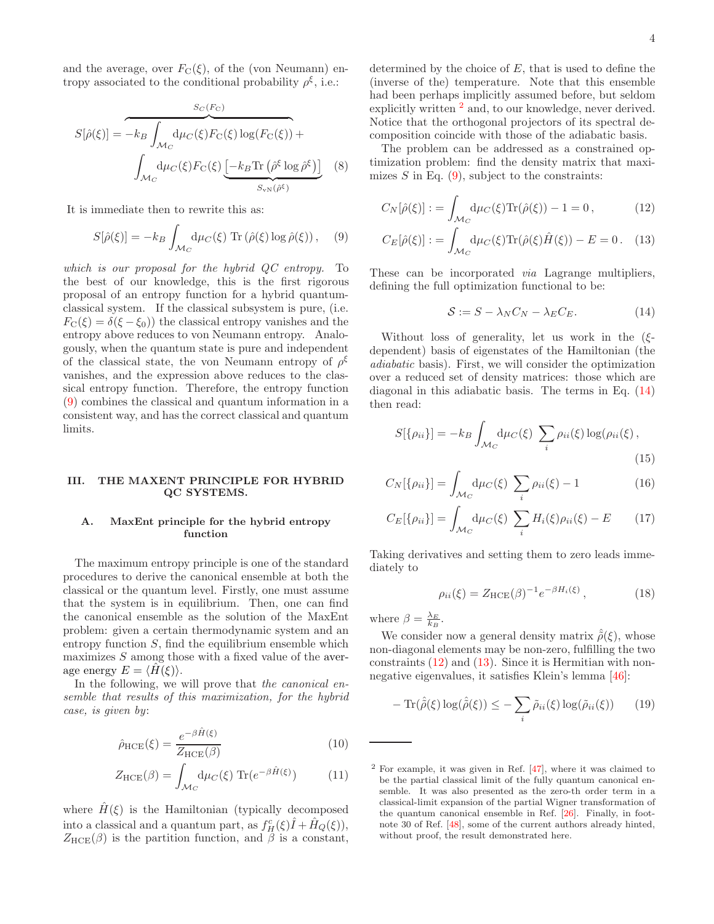and the average, over  $F_{\text{C}}(\xi)$ , of the (von Neumann) entropy associated to the conditional probability  $\rho^{\xi}$ , i.e.:

$$
S[\hat{\rho}(\xi)] = -k_B \int_{\mathcal{M}_C} d\mu_C(\xi) F_C(\xi) \log(F_C(\xi)) + \int_{\mathcal{M}_C} d\mu_C(\xi) F_C(\xi) \underbrace{\left[-k_B \text{Tr} \left(\hat{\rho}^{\xi} \log \hat{\rho}^{\xi}\right)\right]}_{S_{\text{VN}}(\hat{\rho}^{\xi})}
$$
(8)

It is immediate then to rewrite this as:

<span id="page-3-1"></span>
$$
S[\hat{\rho}(\xi)] = -k_B \int_{\mathcal{M}_C} d\mu_C(\xi) \operatorname{Tr} (\hat{\rho}(\xi) \log \hat{\rho}(\xi)), \quad (9)
$$

which is our proposal for the hybrid QC entropy. To the best of our knowledge, this is the first rigorous proposal of an entropy function for a hybrid quantumclassical system. If the classical subsystem is pure, (i.e.  $F_{\rm C}(\xi) = \delta(\xi - \xi_0)$  the classical entropy vanishes and the entropy above reduces to von Neumann entropy. Analogously, when the quantum state is pure and independent of the classical state, the von Neumann entropy of  $\rho^{\xi}$ vanishes, and the expression above reduces to the classical entropy function. Therefore, the entropy function [\(9\)](#page-3-1) combines the classical and quantum information in a consistent way, and has the correct classical and quantum limits.

## <span id="page-3-0"></span>III. THE MAXENT PRINCIPLE FOR HYBRID QC SYSTEMS.

### A. MaxEnt principle for the hybrid entropy function

The maximum entropy principle is one of the standard procedures to derive the canonical ensemble at both the classical or the quantum level. Firstly, one must assume that the system is in equilibrium. Then, one can find the canonical ensemble as the solution of the MaxEnt problem: given a certain thermodynamic system and an entropy function  $S$ , find the equilibrium ensemble which maximizes  $S$  among those with a fixed value of the average energy  $E = \langle H(\xi) \rangle$ .

In the following, we will prove that the canonical ensemble that results of this maximization, for the hybrid case, is given by:

$$
\hat{\rho}_{\text{HCE}}(\xi) = \frac{e^{-\beta \hat{H}(\xi)}}{Z_{\text{HCE}}(\beta)}\tag{10}
$$

$$
Z_{\text{HCE}}(\beta) = \int_{\mathcal{M}_C} d\mu_C(\xi) \text{Tr}(e^{-\beta \hat{H}(\xi)}) \tag{11}
$$

where  $\hat{H}(\xi)$  is the Hamiltonian (typically decomposed into a classical and a quantum part, as  $f_H^c(\xi)\hat{I} + \hat{H}_Q(\xi)$ ,  $Z_{\text{HCE}}(\beta)$  is the partition function, and  $\beta$  is a constant, determined by the choice of  $E$ , that is used to define the (inverse of the) temperature. Note that this ensemble had been perhaps implicitly assumed before, but seldom explicitly written <sup>[2](#page-3-2)</sup> and, to our knowledge, never derived. Notice that the orthogonal projectors of its spectral decomposition coincide with those of the adiabatic basis.

The problem can be addressed as a constrained optimization problem: find the density matrix that maximizes  $S$  in Eq.  $(9)$ , subject to the constraints:

$$
C_N[\hat{\rho}(\xi)] := \int_{\mathcal{M}_C} d\mu_C(\xi) \text{Tr}(\hat{\rho}(\xi)) - 1 = 0, \qquad (12)
$$

$$
C_E[\hat{\rho}(\xi)] := \int_{\mathcal{M}_C} d\mu_C(\xi) \text{Tr}(\hat{\rho}(\xi)\hat{H}(\xi)) - E = 0. \quad (13)
$$

These can be incorporated via Lagrange multipliers, defining the full optimization functional to be:

<span id="page-3-5"></span><span id="page-3-4"></span><span id="page-3-3"></span>
$$
S := S - \lambda_N C_N - \lambda_E C_E. \tag{14}
$$

Without loss of generality, let us work in the  $(\xi$ dependent) basis of eigenstates of the Hamiltonian (the adiabatic basis). First, we will consider the optimization over a reduced set of density matrices: those which are diagonal in this adiabatic basis. The terms in Eq. [\(14\)](#page-3-3) then read:

$$
S[\{\rho_{ii}\}] = -k_B \int_{\mathcal{M}_C} d\mu_C(\xi) \sum_i \rho_{ii}(\xi) \log(\rho_{ii}(\xi)),
$$
\n(15)

$$
C_N[\{\rho_{ii}\}] = \int_{\mathcal{M}_C} d\mu_C(\xi) \sum_i \rho_{ii}(\xi) - 1 \tag{16}
$$

$$
C_E[\{\rho_{ii}\}] = \int_{\mathcal{M}_C} d\mu_C(\xi) \sum_i H_i(\xi) \rho_{ii}(\xi) - E \qquad (17)
$$

Taking derivatives and setting them to zero leads immediately to

<span id="page-3-6"></span>
$$
\rho_{ii}(\xi) = Z_{\text{HCE}}(\beta)^{-1} e^{-\beta H_i(\xi)}, \qquad (18)
$$

where  $\beta = \frac{\lambda_E}{k_B}$ .

We consider now a general density matrix  $\hat{\rho}(\xi)$ , whose non-diagonal elements may be non-zero, fulfilling the two constraints  $(12)$  and  $(13)$ . Since it is Hermitian with nonnegative eigenvalues, it satisfies Klein's lemma [\[46](#page-6-10)]:

$$
-\operatorname{Tr}(\hat{\tilde{\rho}}(\xi)\log(\hat{\tilde{\rho}}(\xi))) \leq -\sum_{i} \tilde{\rho}_{ii}(\xi)\log(\tilde{\rho}_{ii}(\xi)) \qquad (19)
$$

<span id="page-3-2"></span><sup>2</sup> For example, it was given in Ref. [\[47\]](#page-6-11), where it was claimed to be the partial classical limit of the fully quantum canonical ensemble. It was also presented as the zero-th order term in a classical-limit expansion of the partial Wigner transformation of the quantum canonical ensemble in Ref. [\[26](#page-5-12)]. Finally, in footnote 30 of Ref. [\[48\]](#page-6-12), some of the current authors already hinted, without proof, the result demonstrated here.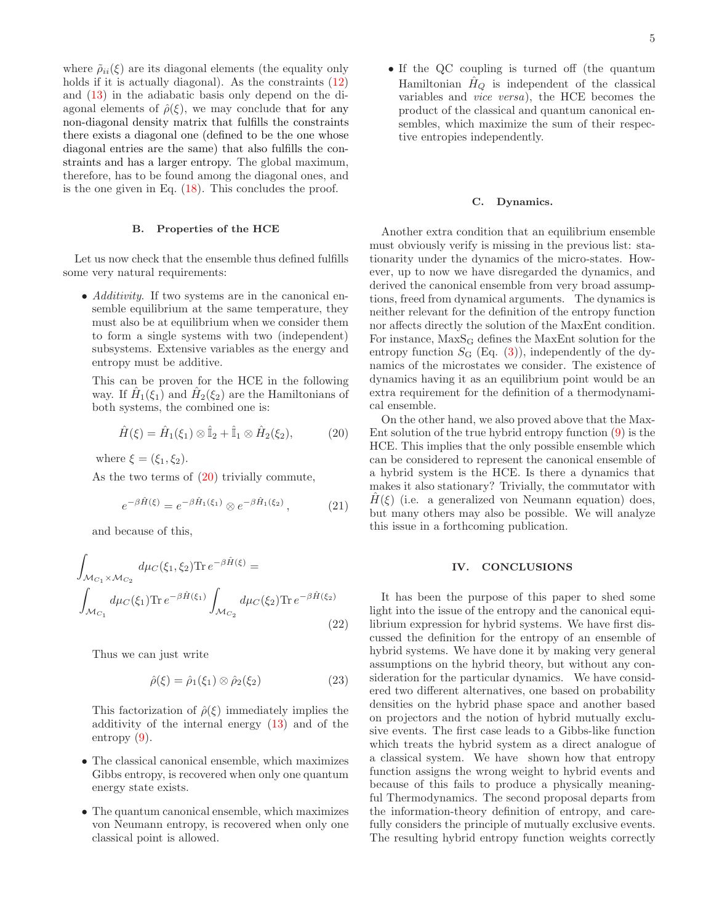where  $\tilde{\rho}_{ii}(\xi)$  are its diagonal elements (the equality only holds if it is actually diagonal). As the constraints  $(12)$ and [\(13\)](#page-3-5) in the adiabatic basis only depend on the diagonal elements of  $\hat{\rho}(\xi)$ , we may conclude that for any non-diagonal density matrix that fulfills the constraints there exists a diagonal one (defined to be the one whose diagonal entries are the same) that also fulfills the constraints and has a larger entropy. The global maximum, therefore, has to be found among the diagonal ones, and is the one given in Eq. [\(18\)](#page-3-6). This concludes the proof.

## B. Properties of the HCE

Let us now check that the ensemble thus defined fulfills some very natural requirements:

• *Additivity*. If two systems are in the canonical ensemble equilibrium at the same temperature, they must also be at equilibrium when we consider them to form a single systems with two (independent) subsystems. Extensive variables as the energy and entropy must be additive.

This can be proven for the HCE in the following way. If  $\hat{H}_1(\xi_1)$  and  $\hat{H}_2(\xi_2)$  are the Hamiltonians of both systems, the combined one is:

<span id="page-4-1"></span>
$$
\hat{H}(\xi) = \hat{H}_1(\xi_1) \otimes \hat{\mathbb{I}}_2 + \hat{\mathbb{I}}_1 \otimes \hat{H}_2(\xi_2), \tag{20}
$$

where  $\xi = (\xi_1, \xi_2)$ .

As the two terms of  $(20)$  trivially commute,

$$
e^{-\beta \hat{H}(\xi)} = e^{-\beta \hat{H}_1(\xi_1)} \otimes e^{-\beta \hat{H}_1(\xi_2)}, \tag{21}
$$

and because of this,

$$
\int_{\mathcal{M}_{C_1} \times \mathcal{M}_{C_2}} d\mu_C(\xi_1, \xi_2) \text{Tr} \, e^{-\beta \hat{H}(\xi)} =
$$
\n
$$
\int_{\mathcal{M}_{C_1}} d\mu_C(\xi_1) \text{Tr} \, e^{-\beta \hat{H}(\xi_1)} \int_{\mathcal{M}_{C_2}} d\mu_C(\xi_2) \text{Tr} \, e^{-\beta \hat{H}(\xi_2)} \tag{22}
$$

Thus we can just write

$$
\hat{\rho}(\xi) = \hat{\rho}_1(\xi_1) \otimes \hat{\rho}_2(\xi_2) \tag{23}
$$

This factorization of  $\hat{\rho}(\xi)$  immediately implies the additivity of the internal energy [\(13\)](#page-3-5) and of the entropy [\(9\)](#page-3-1).

- The classical canonical ensemble, which maximizes Gibbs entropy, is recovered when only one quantum energy state exists.
- The quantum canonical ensemble, which maximizes von Neumann entropy, is recovered when only one classical point is allowed.

• If the QC coupling is turned off (the quantum Hamiltonian  $H_Q$  is independent of the classical variables and vice versa), the HCE becomes the product of the classical and quantum canonical ensembles, which maximize the sum of their respective entropies independently.

#### C. Dynamics.

Another extra condition that an equilibrium ensemble must obviously verify is missing in the previous list: stationarity under the dynamics of the micro-states. However, up to now we have disregarded the dynamics, and derived the canonical ensemble from very broad assumptions, freed from dynamical arguments. The dynamics is neither relevant for the definition of the entropy function nor affects directly the solution of the MaxEnt condition. For instance,  $MaxS_G$  defines the MaxEnt solution for the entropy function  $S_{\text{G}}$  (Eq. [\(3\)](#page-1-1)), independently of the dynamics of the microstates we consider. The existence of dynamics having it as an equilibrium point would be an extra requirement for the definition of a thermodynamical ensemble.

On the other hand, we also proved above that the Max-Ent solution of the true hybrid entropy function [\(9\)](#page-3-1) is the HCE. This implies that the only possible ensemble which can be considered to represent the canonical ensemble of a hybrid system is the HCE. Is there a dynamics that makes it also stationary? Trivially, the commutator with  $H(\xi)$  (i.e. a generalized von Neumann equation) does, but many others may also be possible. We will analyze this issue in a forthcoming publication.

### <span id="page-4-0"></span>IV. CONCLUSIONS

It has been the purpose of this paper to shed some light into the issue of the entropy and the canonical equilibrium expression for hybrid systems. We have first discussed the definition for the entropy of an ensemble of hybrid systems. We have done it by making very general assumptions on the hybrid theory, but without any consideration for the particular dynamics. We have considered two different alternatives, one based on probability densities on the hybrid phase space and another based on projectors and the notion of hybrid mutually exclusive events. The first case leads to a Gibbs-like function which treats the hybrid system as a direct analogue of a classical system. We have shown how that entropy function assigns the wrong weight to hybrid events and because of this fails to produce a physically meaningful Thermodynamics. The second proposal departs from the information-theory definition of entropy, and carefully considers the principle of mutually exclusive events. The resulting hybrid entropy function weights correctly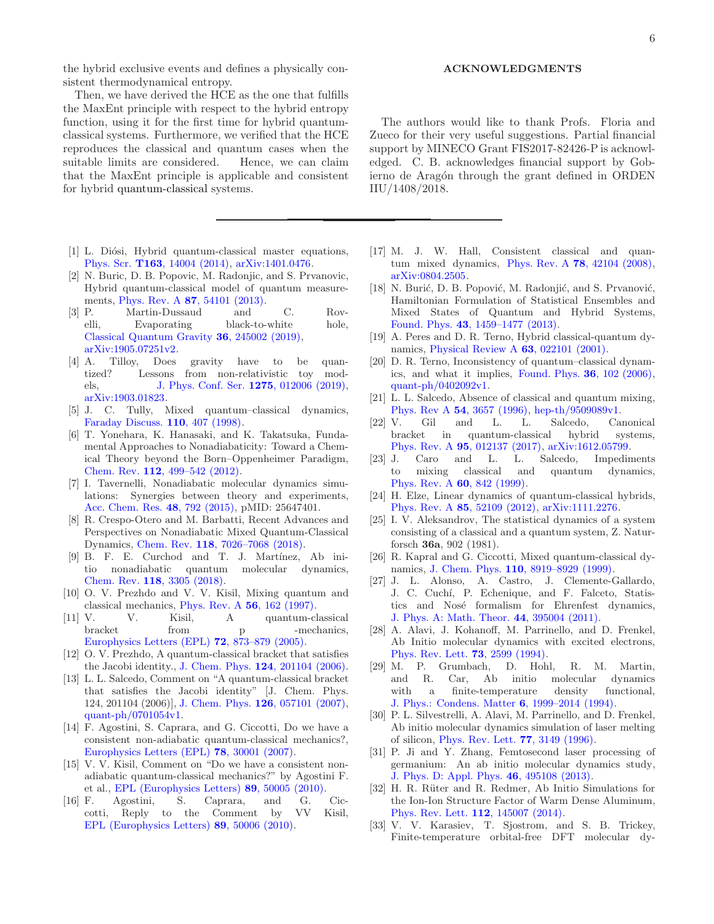the hybrid exclusive events and defines a physically consistent thermodynamical entropy.

Then, we have derived the HCE as the one that fulfills the MaxEnt principle with respect to the hybrid entropy function, using it for the first time for hybrid quantumclassical systems. Furthermore, we verified that the HCE reproduces the classical and quantum cases when the suitable limits are considered. Hence, we can claim that the MaxEnt principle is applicable and consistent for hybrid quantum-classical systems.

- <span id="page-5-0"></span>[1] L. Diósi, Hybrid quantum-classical master equations, Phys. Scr. T163[, 14004 \(2014\),](https://doi.org/10.1088/0031-8949/2014/T163/014004) [arXiv:1401.0476.](https://arxiv.org/abs/1401.0476)
- <span id="page-5-1"></span>[2] N. Buric, D. B. Popovic, M. Radonjic, and S. Prvanovic, Hybrid quantum-classical model of quantum measurements, Phys. Rev. A **87**[, 54101 \(2013\).](https://doi.org/10.1103/PhysRevA.87.054101)
- <span id="page-5-2"></span>[3] P. Martin-Dussaud and C. Rovelli, Evaporating black-to-white hole, [Classical Quantum Gravity](https://doi.org/10.1088/1361-6382/ab5097) 36, 245002 (2019), [arXiv:1905.07251v2.](https://arxiv.org/abs/1905.07251v2)
- <span id="page-5-3"></span>[4] A. Tilloy, Does gravity have to be quantized? Lessons from non-relativistic toy mod-els, [J. Phys. Conf. Ser.](https://doi.org/10.1088/1742-6596/1275/1/012006) **1275**, 012006 (2019), [arXiv:1903.01823.](https://arxiv.org/abs/1903.01823)
- <span id="page-5-4"></span>[5] J. C. Tully, Mixed quantum–classical dynamics, [Faraday Discuss.](https://doi.org/10.1039/A801824C) 110, 407 (1998).
- [6] T. Yonehara, K. Hanasaki, and K. Takatsuka, Fundamental Approaches to Nonadiabaticity: Toward a Chemical Theory beyond the Born–Oppenheimer Paradigm, Chem. Rev. 112[, 499–542 \(2012\).](https://doi.org/10.1021/cr200096s)
- [7] I. Tavernelli, Nonadiabatic molecular dynamics simulations: Synergies between theory and experiments, [Acc. Chem. Res.](https://doi.org/10.1021/ar500357y) 48, 792 (2015), pMID: 25647401.
- [8] R. Crespo-Otero and M. Barbatti, Recent Advances and Perspectives on Nonadiabatic Mixed Quantum-Classical Dynamics, Chem. Rev. 118[, 7026–7068 \(2018\).](https://doi.org/10.1021/acs.chemrev.7b00577)
- <span id="page-5-5"></span>[9] B. F. E. Curchod and T. J. Martínez, Ab initio nonadiabatic quantum molecular dynamics, Chem. Rev. 118[, 3305 \(2018\).](https://doi.org/10.1021/acs.chemrev.7b00423)
- <span id="page-5-6"></span>[10] O. V. Prezhdo and V. V. Kisil, Mixing quantum and classical mechanics, [Phys. Rev. A](http://www.ams.org/mathscinet/search/publications.html?pg1=MR{&}s1=MR1459700) 56, 162 (1997).
- [11] V. V. Kisil, A quantum-classical bracket from p -mechanics, [Europhysics Letters \(EPL\)](https://doi.org/10.1209/epl/i2005-10324-7) 72, 873–879 (2005).
- [12] O. V. Prezhdo, A quantum-classical bracket that satisfies the Jacobi identity., J. Chem. Phys. 124[, 201104 \(2006\).](https://doi.org/10.1063/1.2200342)
- [13] L. L. Salcedo, Comment on "A quantum-classical bracket that satisfies the Jacobi identity" [J. Chem. Phys. 124, 201104 (2006)], J. Chem. Phys. 126[, 057101 \(2007\),](https://doi.org/10.1063/1.2431650) [quant-ph/0701054v1.](https://arxiv.org/abs/quant-ph/0701054v1)
- [14] F. Agostini, S. Caprara, and G. Ciccotti, Do we have a consistent non-adiabatic quantum-classical mechanics?, [Europhysics Letters \(EPL\)](https://doi.org/10.1209/0295-5075/78/30001) 78, 30001 (2007).
- [15] V. V. Kisil, Comment on "Do we have a consistent nonadiabatic quantum-classical mechanics?" by Agostini F. et al., [EPL \(Europhysics Letters\)](https://doi.org/10.1209/0295-5075/89/50005) 89, 50005 (2010).
- [16] F. Agostini, S. Caprara, and G. Ciccotti, Reply to the Comment by VV Kisil, [EPL \(Europhysics Letters\)](http://iopscience.iop.org/0295-5075/89/5/50006/pdf/0295-5075{_}89{_}5{_}50006.pdf) 89, 50006 (2010).

### ACKNOWLEDGMENTS

The authors would like to thank Profs. Floria and Zueco for their very useful suggestions. Partial financial support by MINECO Grant FIS2017-82426-P is acknowledged. C. B. acknowledges financial support by Gobierno de Aragón through the grant defined in ORDEN IIU/1408/2018.

- [17] M. J. W. Hall, Consistent classical and quantum mixed dynamics, Phys. Rev. A 78[, 42104 \(2008\),](https://doi.org/10.1103/PhysRevA.78.042104) [arXiv:0804.2505.](https://arxiv.org/abs/0804.2505)
- <span id="page-5-10"></span>[18] N. Burić, D. B. Popović, M. Radonjić, and S. Prvanović, Hamiltonian Formulation of Statistical Ensembles and Mixed States of Quantum and Hybrid Systems, Found. Phys. 43[, 1459–1477 \(2013\).](https://doi.org/10.1007/s10701-013-9755-z)
- [19] A. Peres and D. R. Terno, Hybrid classical-quantum dynamics, [Physical Review A](https://doi.org/10.1103/physreva.63.022101) 63, 022101 (2001).
- [20] D. R. Terno, Inconsistency of quantum–classical dynamics, and what it implies, [Found. Phys.](https://doi.org/10.1007/s10701-005-9007-y) 36, 102 (2006), [quant-ph/0402092v1.](https://arxiv.org/abs/quant-ph/0402092v1)
- [21] L. L. Salcedo, Absence of classical and quantum mixing, Phys. Rev A 54[, 3657 \(1996\),](https://doi.org/10.1103/PhysRevA.54.3657) [hep-th/9509089v1.](https://arxiv.org/abs/hep-th/9509089v1)
- [22] V. Gil and L. L. Salcedo, Canonical bracket in quantum-classical hybrid systems, Phys. Rev. A 95[, 012137 \(2017\),](https://doi.org/10.1103/PhysRevA.95.012137) [arXiv:1612.05799.](https://arxiv.org/abs/1612.05799)
- [23] J. Caro and L. L. Salcedo, Impediments to mixing classical and quantum dynamics, [Phys. Rev. A](https://doi.org/10.1103/PhysRevA.60.842) 60, 842 (1999).
- [24] H. Elze, Linear dynamics of quantum-classical hybrids, Phys. Rev. A 85[, 52109 \(2012\),](https://doi.org/10.1103/PhysRevA.85.052109) [arXiv:1111.2276.](https://arxiv.org/abs/1111.2276)
- <span id="page-5-11"></span>[25] I. V. Aleksandrov, The statistical dynamics of a system consisting of a classical and a quantum system, Z. Naturforsch 36a, 902 (1981).
- <span id="page-5-12"></span>[26] R. Kapral and G. Ciccotti, Mixed quantum-classical dynamics, J. Chem. Phys. 110[, 8919–8929 \(1999\).](http://link.aip.org/link/?JCPSA6/110/8919/1)
- <span id="page-5-7"></span>[27] J. L. Alonso, A. Castro, J. Clemente-Gallardo, J. C. Cuchí, P. Echenique, and F. Falceto, Statistics and Nosé formalism for Ehrenfest dynamics, [J. Phys. A: Math. Theor.](https://doi.org/10.1088/1751-8113/44/39/395004) 44, 395004 (2011).
- <span id="page-5-8"></span>[28] A. Alavi, J. Kohanoff, M. Parrinello, and D. Frenkel, Ab Initio molecular dynamics with excited electrons, [Phys. Rev. Lett.](https://doi.org/10.1103/PhysRevLett.73.2599) 73, 2599 (1994).
- [29] M. P. Grumbach, D. Hohl, R. M. Martin, and R. Car, Ab initio molecular dynamics with a finite-temperature density functional, [J. Phys.: Condens. Matter](https://doi.org/10.1088/0953-8984/6/10/017) 6, 1999–2014 (1994).
- [30] P. L. Silvestrelli, A. Alavi, M. Parrinello, and D. Frenkel, Ab initio molecular dynamics simulation of laser melting of silicon, [Phys. Rev. Lett.](https://doi.org/10.1103/PhysRevLett.77.3149) 77, 3149 (1996).
- [31] P. Ji and Y. Zhang, Femtosecond laser processing of germanium: An ab initio molecular dynamics study, [J. Phys. D: Appl. Phys.](https://doi.org/10.1088/0022-3727/46/49/495108) 46, 495108 (2013).
- [32] H. R. Rüter and R. Redmer, Ab Initio Simulations for the Ion-Ion Structure Factor of Warm Dense Aluminum, [Phys. Rev. Lett.](https://doi.org/10.1103/PhysRevLett.112.145007) 112, 145007 (2014).
- <span id="page-5-9"></span>[33] V. V. Karasiev, T. Sjostrom, and S. B. Trickey, Finite-temperature orbital-free DFT molecular dy-